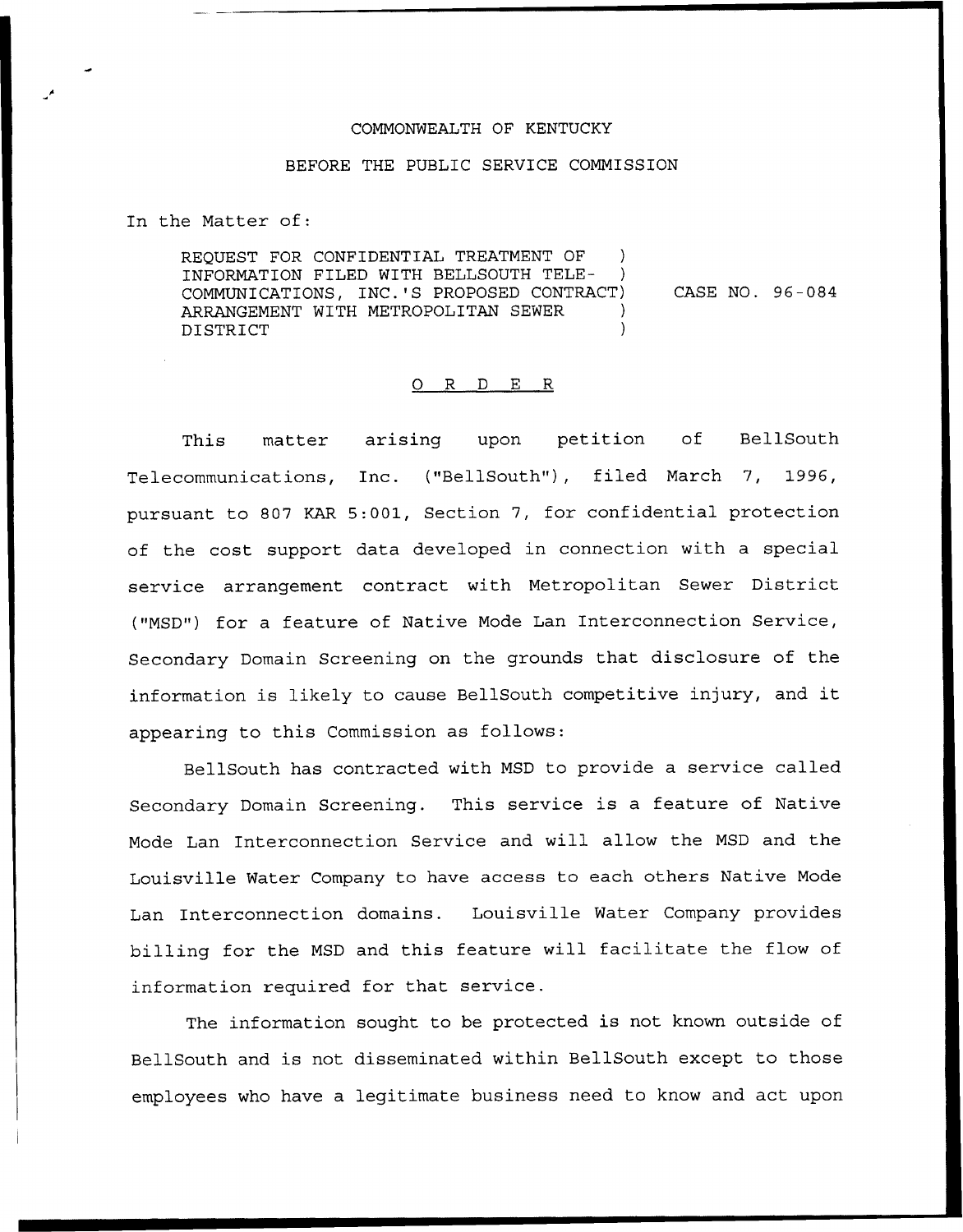## COMMONWEALTH OF KENTUCKY

## BEFORE THE PUBLIC SERVICE COMMISSION

In the Matter of:

REQUEST FOR CONFIDENTIAL TREATMENT OF INFORMATION FILED WITH BELLSOUTH TELE-COMMUNICATIONS, INC.'S PROPOSED CONTRACT) ARRANGEMENT WITH METROPOLITAN SEWER DISTRICT ) CASE NO. 96 —084

## 0 R <sup>D</sup> E R

This matter arising upon petition of BellSouth Telecommunications, Inc. ("BellSouth"), filed March 7, 1996, pursuant to 807 KAR 5:001, Section 7, for confidential protection of the cost support data developed in connection with a special service arrangement contract with Metropolitan Sewer District ("MSD") for a feature of Native Mode Lan Interconnection Service, Secondary Domain Screening on the grounds that disclosure of the information is likely to cause BellSouth competitive injury, and it appearing to this Commission as follows:

BellSouth has contracted with MSD to provide a service called Secondary Domain Screening. This service is a feature of Native Mode Lan Interconnection Service and will allow the MSD and the Louisville Water Company to have access to each others Native Mode Lan Interconnection domains. Louisville Water Company provides billing for the MSD and this feature will facilitate the flow of information required for that service.

The information sought to be protected is not known outside of BellSouth and is not disseminated within BellSouth except to those employees who have a legitimate business need to know and act upon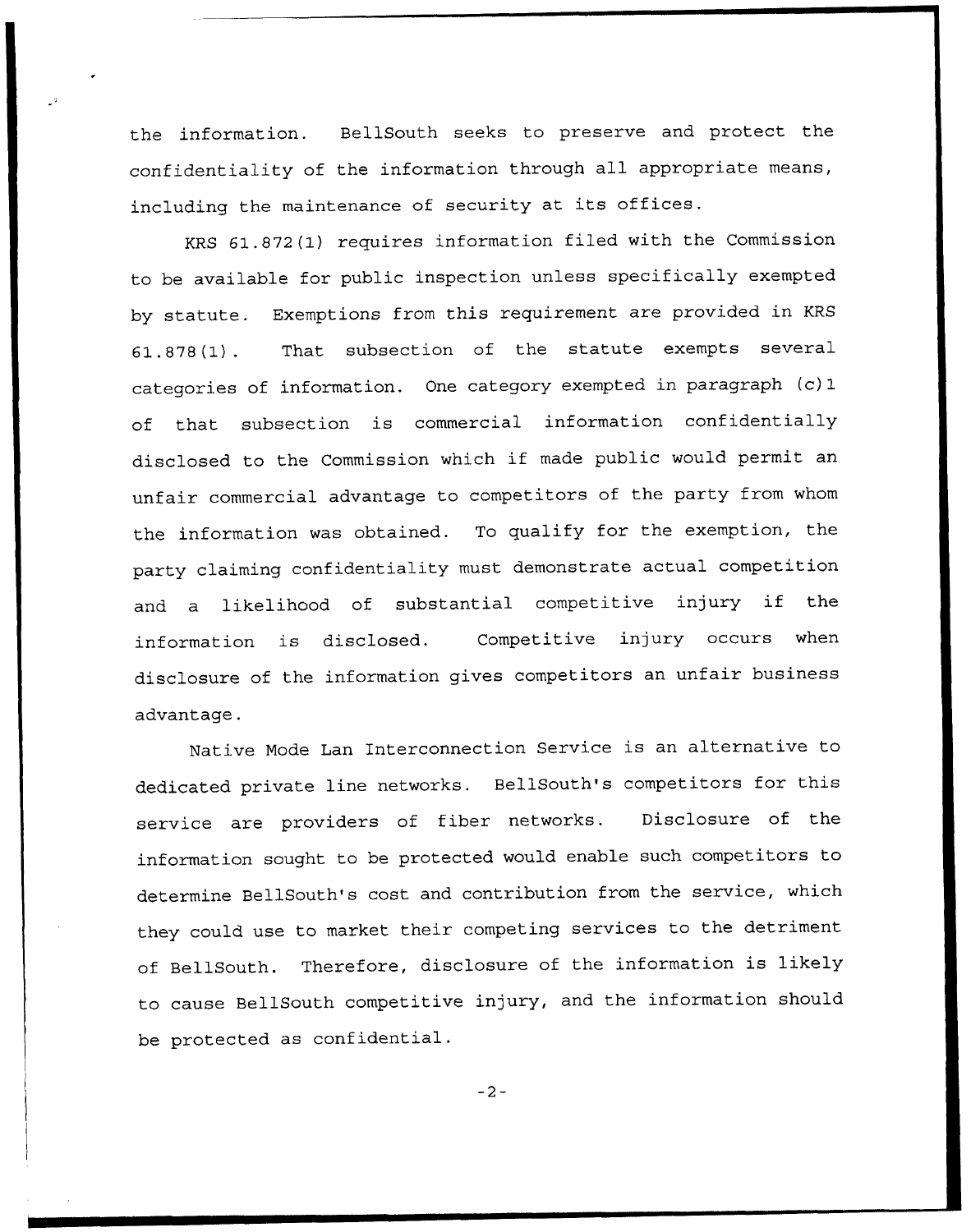the information. BellSouth seeks to preserve and protect the confidentiality of the information through all appropriate means, including the maintenance of security at its offices.

KRS 61.872(1) requires information filed with the Commission to be available for public inspection unless specifically exempted by statute. Exemptions from this requirement are provided in KRS 61 . 878 (1) . That subsection of the statute exempts several categories of information. One category exempted in paragraph (c) 1 of that subsection is commercial information confidentially disclosed to the Commission which if made public would permit an unfair commercial advantage to competitors of the party from whom the information was obtained. To qualify for the exemption, the party claiming confidentiality must demonstrate actual competition and <sup>a</sup> likelihood of substantial competitive injury if the information is disclosed. Competitive injury occurs when disclosure of the information gives competitors an unfair business advantage.

Native Mode Lan Interconnection Service is an alternative to dedicated private line networks. BellSouth's competitors for this service are providers of fiber networks. Disclosure of the information sought to be protected would enable such competitors to determine BellSouth's cost and contribution from the service, which they could use to market their competing services to the detriment of BellSouth. Therefore, disclosure of the information is likely to cause BellSouth competitive injury, and the information should be protected as confidential.

 $-2-$